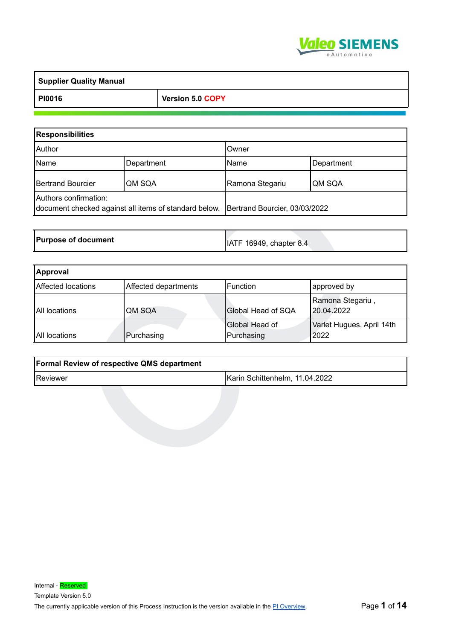

| <b>Supplier Quality Manual</b> |                  |
|--------------------------------|------------------|
| PI0016                         | Version 5.0 COPY |

| <b>Responsibilities</b>  |                                                       |                               |            |
|--------------------------|-------------------------------------------------------|-------------------------------|------------|
| Author                   |                                                       | Owner                         |            |
| Name                     | Department                                            | Name                          | Department |
| <b>Bertrand Bourcier</b> | QM SQA                                                | Ramona Stegariu               | QM SQA     |
| Authors confirmation:    | document checked against all items of standard below. | Bertrand Bourcier, 03/03/2022 |            |

| <b>Purpose of document</b> | IATF 16949, chapter 8.4 |  |
|----------------------------|-------------------------|--|
|----------------------------|-------------------------|--|

| <b>Bertrand Bourcier</b>                   | QM SQA                                                | Ramona Stegariu                | QM SQA                            |  |  |
|--------------------------------------------|-------------------------------------------------------|--------------------------------|-----------------------------------|--|--|
| Authors confirmation:                      | document checked against all items of standard below. | Bertrand Bourcier, 03/03/2022  |                                   |  |  |
|                                            |                                                       |                                |                                   |  |  |
| <b>Purpose of document</b>                 |                                                       | IATF 16949, chapter 8.4        |                                   |  |  |
|                                            |                                                       |                                |                                   |  |  |
| <b>Approval</b>                            |                                                       |                                |                                   |  |  |
| Affected locations                         | Affected departments                                  | Function                       | approved by                       |  |  |
| <b>All locations</b>                       | QM SQA                                                | Global Head of SQA             | Ramona Stegariu,<br>20.04.2022    |  |  |
| All locations                              | Purchasing                                            | Global Head of<br>Purchasing   | Varlet Hugues, April 14th<br>2022 |  |  |
|                                            |                                                       |                                |                                   |  |  |
| Formal Review of respective QMS department |                                                       |                                |                                   |  |  |
| Reviewer                                   |                                                       | Karin Schittenhelm, 11.04.2022 |                                   |  |  |
|                                            |                                                       |                                |                                   |  |  |
|                                            |                                                       |                                |                                   |  |  |
|                                            |                                                       |                                |                                   |  |  |
|                                            |                                                       |                                |                                   |  |  |
|                                            |                                                       |                                |                                   |  |  |
|                                            |                                                       |                                |                                   |  |  |
|                                            |                                                       |                                |                                   |  |  |

| <b>Formal Review of respective QMS department</b> |                                |
|---------------------------------------------------|--------------------------------|
| Reviewer                                          | Karin Schittenhelm, 11.04.2022 |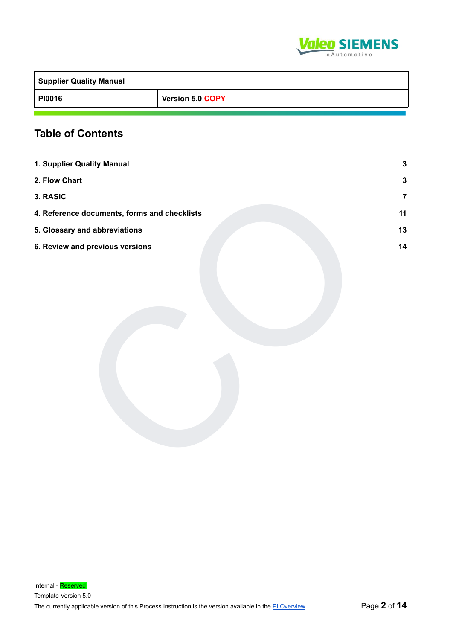

| <b>Supplier Quality Manual</b> |                  |
|--------------------------------|------------------|
| <b>PI0016</b>                  | Version 5.0 COPY |

# **Table of Contents**

| 1. Supplier Quality Manual                   | $\mathbf{3}$     |
|----------------------------------------------|------------------|
| 2. Flow Chart                                | $\mathbf 3$      |
| 3. RASIC                                     | $\boldsymbol{7}$ |
| 4. Reference documents, forms and checklists | 11               |
| 5. Glossary and abbreviations                | 13               |
| 6. Review and previous versions              | 14               |
|                                              |                  |
|                                              |                  |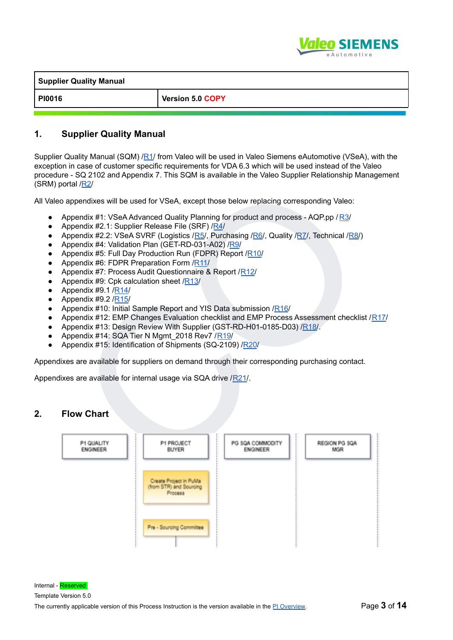

| <b>Supplier Quality Manual</b> |                         |
|--------------------------------|-------------------------|
| <b>PI0016</b>                  | <b>Version 5.0 COPY</b> |

#### <span id="page-2-0"></span>**1. Supplier Quality Manual**

Supplier Quality Manual (SQM) /[R1/](#page-10-0) from Valeo will be used in Valeo Siemens eAutomotive (VSeA), with the exception in case of customer specific requirements for VDA 6.3 which will be used instead of the Valeo procedure - SQ 2102 and Appendix 7. This SQM is available in the Valeo Supplier Relationship Management (SRM) portal /R2/

All Valeo appendixes will be used for VSeA, except those below replacing corresponding Valeo:

- Appendix #1: VSeA Advanced Quality Planning for product and process AQP.pp / R3/
- Appendix #2.1: Supplier Release File (SRF) /R4/
- Appendix #2.2: VSeA SVRF (Logistics /R5/, Purchasing /R6/, Quality /R7/, Technical /R8/)
- Appendix #4: Validation Plan (GET-RD-031-A02) /R9/
- Appendix #5: Full Day Production Run (FDPR) Report /R10/
- Appendix #6: FDPR Preparation Form /R11/
- Appendix #7: Process Audit Questionnaire & Report / R12/
- Appendix #9: Cpk calculation sheet  $/RI3/$
- Appendix #9.1 /R14/
- Appendix #9.2 /R15/
- Appendix #10: Initial Sample Report and YIS Data submission /R16/
- Appendix #12: EMP Changes Evaluation checklist and EMP Process Assessment checklist /[R17/](#page-10-0)
- Appendix #13: Design Review With Supplier (GST-RD-H01-0185-D03) /R18/.
- Appendix #14: SQA Tier N Mgmt 2018 Rev7 /R19/
- Appendix #15: Identification of Shipments (SQ-2109) /R20/

Appendixes are available for suppliers on demand through their corresponding purchasing contact.

Appendixes are available for internal usage via SQA drive /R21/.

#### <span id="page-2-1"></span>**2. Flow Chart**

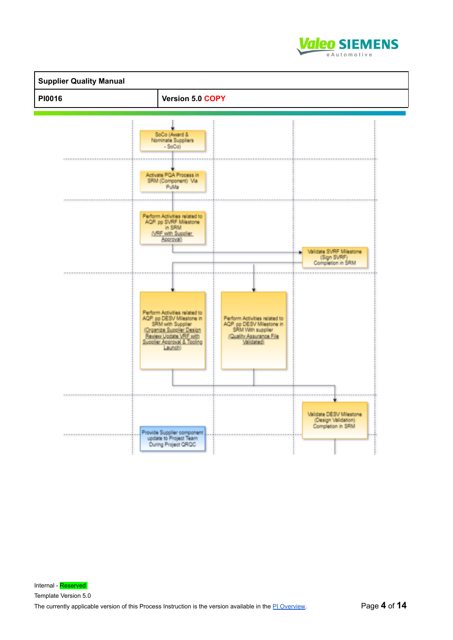

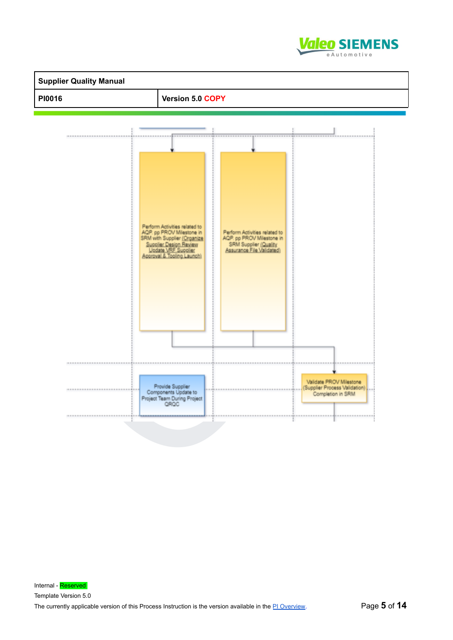

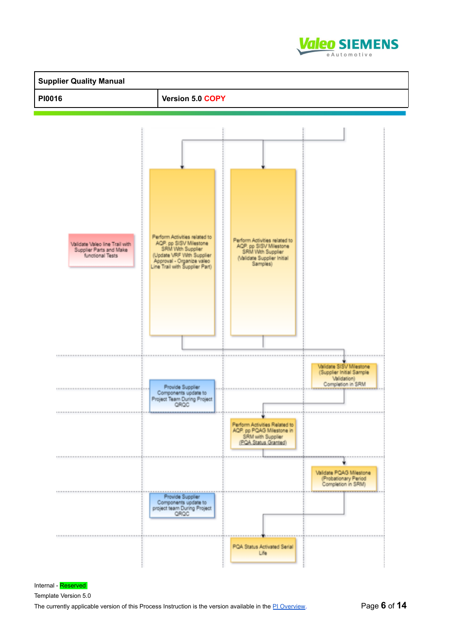



Internal - Reserved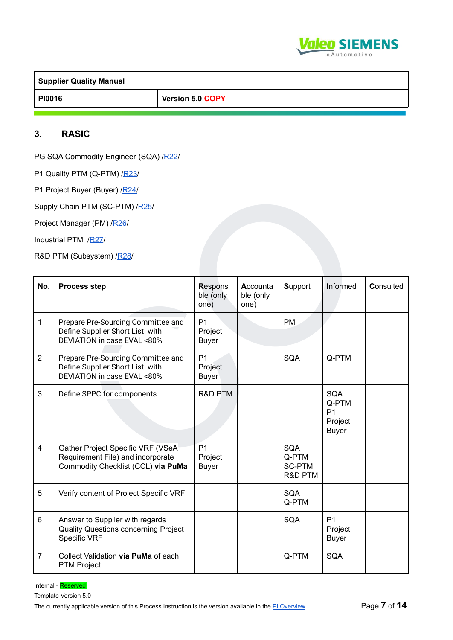

**Supplier Quality Manual PI0016 Version 5.0 COPY**

#### <span id="page-6-0"></span>**3. RASIC**

PG SQA Commodity Engineer (SQA) /[R22/](#page-10-0)

P1 Quality PTM (Q-PTM) [/R23/](#page-10-0)

|                | P1 Project Buyer (Buyer) /R24/                                                                               |                                           |                               |                                          |                                                                  |           |
|----------------|--------------------------------------------------------------------------------------------------------------|-------------------------------------------|-------------------------------|------------------------------------------|------------------------------------------------------------------|-----------|
|                | Supply Chain PTM (SC-PTM) /R25/                                                                              |                                           |                               |                                          |                                                                  |           |
|                | Project Manager (PM) /R26/                                                                                   |                                           |                               |                                          |                                                                  |           |
|                | Industrial PTM /R27/                                                                                         |                                           |                               |                                          |                                                                  |           |
|                | R&D PTM (Subsystem) /R28/                                                                                    |                                           |                               |                                          |                                                                  |           |
| No.            | <b>Process step</b>                                                                                          | Responsi<br>ble (only<br>one)             | Accounta<br>ble (only<br>one) | Support                                  | <b>Informed</b>                                                  | Consulted |
| $\mathbf{1}$   | Prepare Pre-Sourcing Committee and<br>Define Supplier Short List with<br>DEVIATION in case EVAL <80%         | P <sub>1</sub><br>Project<br><b>Buyer</b> |                               | PM                                       |                                                                  |           |
| $\overline{2}$ | Prepare Pre-Sourcing Committee and<br>Define Supplier Short List with<br>DEVIATION in case EVAL <80%         | P <sub>1</sub><br>Project<br><b>Buyer</b> |                               | <b>SQA</b>                               | Q-PTM                                                            |           |
| 3              | Define SPPC for components                                                                                   | R&D PTM                                   |                               |                                          | <b>SQA</b><br>Q-PTM<br>P <sub>1</sub><br>Project<br><b>Buyer</b> |           |
| $\overline{4}$ | Gather Project Specific VRF (VSeA<br>Requirement File) and incorporate<br>Commodity Checklist (CCL) via PuMa | P <sub>1</sub><br>Project<br><b>Buyer</b> |                               | SQA<br>Q-PTM<br><b>SC-PTM</b><br>R&D PTM |                                                                  |           |
| 5              | Verify content of Project Specific VRF                                                                       |                                           |                               | <b>SQA</b><br>Q-PTM                      |                                                                  |           |
| 6              | Answer to Supplier with regards<br><b>Quality Questions concerning Project</b><br>Specific VRF               |                                           |                               | <b>SQA</b>                               | P <sub>1</sub><br>Project<br><b>Buyer</b>                        |           |
| $\overline{7}$ | Collect Validation via PuMa of each<br><b>PTM Project</b>                                                    |                                           |                               | Q-PTM                                    | <b>SQA</b>                                                       |           |
|                |                                                                                                              |                                           |                               |                                          |                                                                  |           |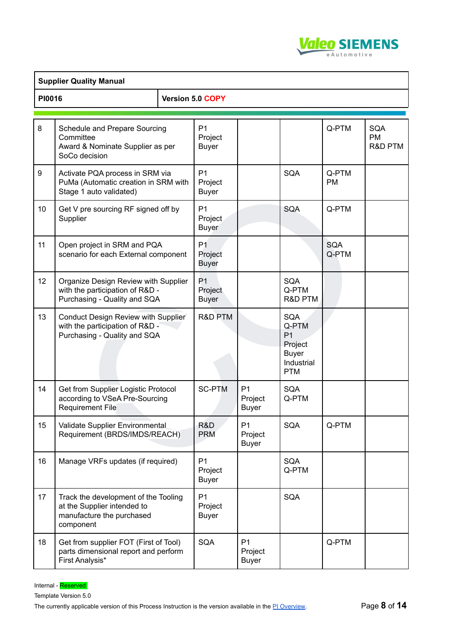

|               | <b>Supplier Quality Manual</b>                                                                                |  |                                           |                                           |                                                                                              |                     |                                    |
|---------------|---------------------------------------------------------------------------------------------------------------|--|-------------------------------------------|-------------------------------------------|----------------------------------------------------------------------------------------------|---------------------|------------------------------------|
| <b>PI0016</b> |                                                                                                               |  | Version 5.0 COPY                          |                                           |                                                                                              |                     |                                    |
| 8             | Schedule and Prepare Sourcing<br>Committee<br>Award & Nominate Supplier as per<br>SoCo decision               |  | P <sub>1</sub><br>Project<br><b>Buyer</b> |                                           |                                                                                              | Q-PTM               | <b>SQA</b><br><b>PM</b><br>R&D PTM |
| 9             | Activate PQA process in SRM via<br>PuMa (Automatic creation in SRM with<br>Stage 1 auto validated)            |  | P <sub>1</sub><br>Project<br><b>Buyer</b> |                                           | <b>SQA</b>                                                                                   | Q-PTM<br><b>PM</b>  |                                    |
| 10            | Get V pre sourcing RF signed off by<br>Supplier                                                               |  | P <sub>1</sub><br>Project<br><b>Buyer</b> |                                           | SQA                                                                                          | Q-PTM               |                                    |
| 11            | Open project in SRM and PQA<br>scenario for each External component                                           |  | P <sub>1</sub><br>Project<br><b>Buyer</b> |                                           |                                                                                              | <b>SQA</b><br>Q-PTM |                                    |
| 12            | Organize Design Review with Supplier<br>with the participation of R&D -<br>Purchasing - Quality and SQA       |  | P <sub>1</sub><br>Project<br><b>Buyer</b> |                                           | <b>SQA</b><br>Q-PTM<br>R&D PTM                                                               |                     |                                    |
| 13            | Conduct Design Review with Supplier<br>with the participation of R&D -<br>Purchasing - Quality and SQA        |  | R&D PTM                                   |                                           | <b>SQA</b><br>Q-PTM<br>P <sub>1</sub><br>Project<br><b>Buyer</b><br>Industrial<br><b>PTM</b> |                     |                                    |
| 14            | Get from Supplier Logistic Protocol<br>according to VSeA Pre-Sourcing<br><b>Requirement File</b>              |  | <b>SC-PTM</b>                             | P <sub>1</sub><br>Project<br><b>Buyer</b> | SQA<br>Q-PTM                                                                                 |                     |                                    |
| 15            | Validate Supplier Environmental<br>Requirement (BRDS/IMDS/REACH)                                              |  | R&D<br><b>PRM</b>                         | P <sub>1</sub><br>Project<br><b>Buyer</b> | <b>SQA</b>                                                                                   | Q-PTM               |                                    |
| 16            | Manage VRFs updates (if required)                                                                             |  | P <sub>1</sub><br>Project<br><b>Buyer</b> |                                           | SQA<br>Q-PTM                                                                                 |                     |                                    |
| 17            | Track the development of the Tooling<br>at the Supplier intended to<br>manufacture the purchased<br>component |  | P <sub>1</sub><br>Project<br><b>Buyer</b> |                                           | <b>SQA</b>                                                                                   |                     |                                    |
| 18            | Get from supplier FOT (First of Tool)<br>parts dimensional report and perform<br>First Analysis*              |  | SQA                                       | P <sub>1</sub><br>Project<br><b>Buyer</b> |                                                                                              | Q-PTM               |                                    |

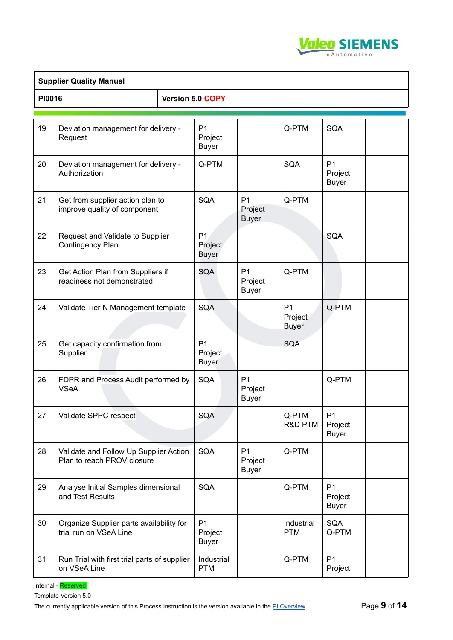

|        | <b>Supplier Quality Manual</b>                                       |                                           |                                           |                                           |                                           |  |
|--------|----------------------------------------------------------------------|-------------------------------------------|-------------------------------------------|-------------------------------------------|-------------------------------------------|--|
| PI0016 |                                                                      | Version 5.0 COPY                          |                                           |                                           |                                           |  |
|        |                                                                      |                                           |                                           |                                           |                                           |  |
| 19     | Deviation management for delivery -<br>Request                       | P <sub>1</sub><br>Project<br><b>Buyer</b> |                                           | Q-PTM                                     | <b>SQA</b>                                |  |
| 20     | Deviation management for delivery -<br>Authorization                 | Q-PTM                                     |                                           | SQA                                       | P <sub>1</sub><br>Project<br><b>Buyer</b> |  |
| 21     | Get from supplier action plan to<br>improve quality of component     | <b>SQA</b>                                | P <sub>1</sub><br>Project<br><b>Buyer</b> | Q-PTM                                     |                                           |  |
| 22     | Request and Validate to Supplier<br>Contingency Plan                 | P <sub>1</sub><br>Project<br><b>Buyer</b> |                                           |                                           | <b>SQA</b>                                |  |
| 23     | Get Action Plan from Suppliers if<br>readiness not demonstrated      | <b>SQA</b>                                | P <sub>1</sub><br>Project<br><b>Buyer</b> | Q-PTM                                     |                                           |  |
| 24     | Validate Tier N Management template                                  | SQA                                       |                                           | P <sub>1</sub><br>Project<br><b>Buyer</b> | Q-PTM                                     |  |
| 25     | Get capacity confirmation from<br>Supplier                           | P <sub>1</sub><br>Project<br><b>Buyer</b> |                                           | <b>SQA</b>                                |                                           |  |
| 26     | FDPR and Process Audit performed by<br><b>VSeA</b>                   | SQA                                       | P <sub>1</sub><br>Project<br><b>Buyer</b> |                                           | Q-PTM                                     |  |
| 27     | Validate SPPC respect                                                | SQA                                       |                                           | Q-PTM<br>R&D PTM                          | P <sub>1</sub><br>Project<br><b>Buyer</b> |  |
| 28     | Validate and Follow Up Supplier Action<br>Plan to reach PROV closure | SQA                                       | P <sub>1</sub><br>Project<br><b>Buyer</b> | Q-PTM                                     |                                           |  |
| 29     | Analyse Initial Samples dimensional<br>and Test Results              | SQA                                       |                                           | Q-PTM                                     | P <sub>1</sub><br>Project<br><b>Buyer</b> |  |
| 30     | Organize Supplier parts availability for<br>trial run on VSeA Line   | P <sub>1</sub><br>Project<br><b>Buyer</b> |                                           | Industrial<br><b>PTM</b>                  | <b>SQA</b><br>Q-PTM                       |  |
| 31     | Run Trial with first trial parts of supplier<br>on VSeA Line         | Industrial<br><b>PTM</b>                  |                                           | Q-PTM                                     | P1<br>Project                             |  |

Internal - Reserved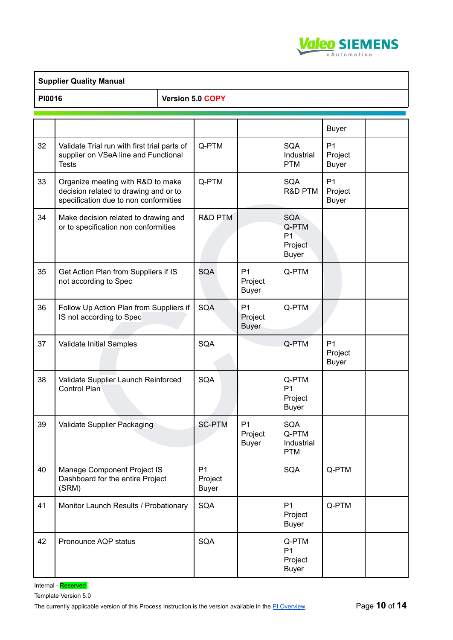

|                            | <b>Supplier Quality Manual</b>                                                                                      |  |                                           |                                           |                                                                  |                                           |  |
|----------------------------|---------------------------------------------------------------------------------------------------------------------|--|-------------------------------------------|-------------------------------------------|------------------------------------------------------------------|-------------------------------------------|--|
| PI0016<br>Version 5.0 COPY |                                                                                                                     |  |                                           |                                           |                                                                  |                                           |  |
|                            |                                                                                                                     |  |                                           |                                           |                                                                  |                                           |  |
|                            |                                                                                                                     |  |                                           |                                           |                                                                  | <b>Buyer</b>                              |  |
| 32                         | Validate Trial run with first trial parts of<br>supplier on VSeA line and Functional<br><b>Tests</b>                |  | Q-PTM                                     |                                           | <b>SQA</b><br>Industrial<br><b>PTM</b>                           | P <sub>1</sub><br>Project<br><b>Buyer</b> |  |
| 33                         | Organize meeting with R&D to make<br>decision related to drawing and or to<br>specification due to non conformities |  | Q-PTM                                     |                                           | SQA<br>R&D PTM                                                   | P <sub>1</sub><br>Project<br><b>Buyer</b> |  |
| 34                         | Make decision related to drawing and<br>or to specification non conformities                                        |  | R&D PTM                                   |                                           | <b>SQA</b><br>Q-PTM<br>P <sub>1</sub><br>Project<br><b>Buyer</b> |                                           |  |
| 35                         | Get Action Plan from Suppliers if IS<br>not according to Spec                                                       |  | <b>SQA</b>                                | P <sub>1</sub><br>Project<br><b>Buyer</b> | Q-PTM                                                            |                                           |  |
| 36                         | Follow Up Action Plan from Suppliers if<br>IS not according to Spec                                                 |  | <b>SQA</b>                                | P <sub>1</sub><br>Project<br><b>Buyer</b> | Q-PTM                                                            |                                           |  |
| 37                         | Validate Initial Samples                                                                                            |  | <b>SQA</b>                                |                                           | Q-PTM                                                            | P <sub>1</sub><br>Project<br><b>Buyer</b> |  |
| 38                         | Validate Supplier Launch Reinforced<br>Control Plan                                                                 |  | <b>SQA</b>                                |                                           | Q-PTM<br>P <sub>1</sub><br>Project<br><b>Buyer</b>               |                                           |  |
| 39                         | Validate Supplier Packaging                                                                                         |  | <b>SC-PTM</b>                             | P <sub>1</sub><br>Project<br><b>Buyer</b> | <b>SQA</b><br>Q-PTM<br>Industrial<br><b>PTM</b>                  |                                           |  |
| 40                         | Manage Component Project IS<br>Dashboard for the entire Project<br>(SRM)                                            |  | P <sub>1</sub><br>Project<br><b>Buyer</b> |                                           | SQA                                                              | Q-PTM                                     |  |
| 41                         | Monitor Launch Results / Probationary                                                                               |  | <b>SQA</b>                                |                                           | P <sub>1</sub><br>Project<br><b>Buyer</b>                        | Q-PTM                                     |  |
| 42                         | Pronounce AQP status                                                                                                |  | <b>SQA</b>                                |                                           | Q-PTM<br>P <sub>1</sub><br>Project<br><b>Buyer</b>               |                                           |  |

Internal - Reserved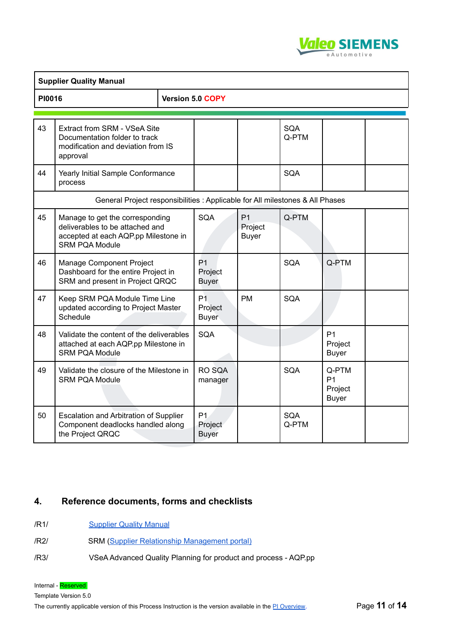

| <b>PI0016</b> |                                                                                                                                     |  | Version 5.0 COPY                          |                                           |                     |                                                    |  |
|---------------|-------------------------------------------------------------------------------------------------------------------------------------|--|-------------------------------------------|-------------------------------------------|---------------------|----------------------------------------------------|--|
| 43            | Extract from SRM - VSeA Site<br>Documentation folder to track<br>modification and deviation from IS<br>approval                     |  |                                           |                                           | SQA<br>Q-PTM        |                                                    |  |
| 44            | Yearly Initial Sample Conformance<br>process                                                                                        |  |                                           |                                           | <b>SQA</b>          |                                                    |  |
|               | General Project responsibilities : Applicable for All milestones & All Phases                                                       |  |                                           |                                           |                     |                                                    |  |
| 45            | Manage to get the corresponding<br>deliverables to be attached and<br>accepted at each AQP.pp Milestone in<br><b>SRM PQA Module</b> |  | <b>SQA</b>                                | P <sub>1</sub><br>Project<br><b>Buyer</b> | Q-PTM               |                                                    |  |
| 46            | Manage Component Project<br>Dashboard for the entire Project in<br>SRM and present in Project QRQC                                  |  | P <sub>1</sub><br>Project<br>Buyer        |                                           | SQA                 | Q-PTM                                              |  |
| 47            | Keep SRM PQA Module Time Line<br>updated according to Project Master<br>Schedule                                                    |  | P <sub>1</sub><br>Project<br><b>Buyer</b> | <b>PM</b>                                 | <b>SQA</b>          |                                                    |  |
| 48            | Validate the content of the deliverables<br>attached at each AQP.pp Milestone in<br><b>SRM PQA Module</b>                           |  | <b>SQA</b>                                |                                           |                     | P <sub>1</sub><br>Project<br><b>Buyer</b>          |  |
| 49            | Validate the closure of the Milestone in<br><b>SRM PQA Module</b>                                                                   |  | RO SQA<br>manager                         |                                           | <b>SQA</b>          | Q-PTM<br>P <sub>1</sub><br>Project<br><b>Buyer</b> |  |
| 50            | Escalation and Arbitration of Supplier<br>Component deadlocks handled along<br>the Project QRQC                                     |  | P1.<br>Project<br><b>Buyer</b>            |                                           | <b>SQA</b><br>Q-PTM |                                                    |  |

### <span id="page-10-0"></span>**4. Reference documents, forms and checklists**

- /R1/ [Supplier](https://suppliers.valeo.com/suppliers/openStatic.administrate?docID=RefDocs) Quality Manual
- /R2/ SRM (Supplier Relationship [Management](https://suppliers.valeo.com/suppliers/login.administrate) portal)
- /R3/ VSeA Advanced Quality Planning for product and process AQP.pp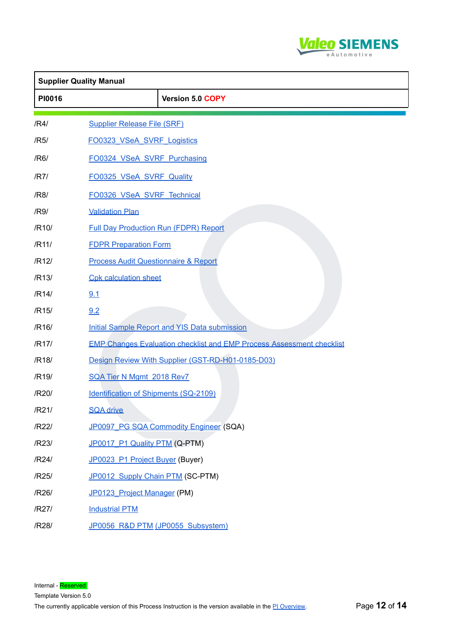

|        | <b>Supplier Quality Manual</b>                                               |  |
|--------|------------------------------------------------------------------------------|--|
| PI0016 | Version 5.0 COPY                                                             |  |
| /R4/   | <b>Supplier Release File (SRF)</b>                                           |  |
| /R5/   | FO0323 VSeA SVRF Logistics                                                   |  |
| /R6/   | FO0324 VSeA SVRF Purchasing                                                  |  |
| /R7/   | FO0325 VSeA SVRF Quality                                                     |  |
| /R8/   | FO0326 VSeA SVRF Technical                                                   |  |
| /R9/   | <b>Validation Plan</b>                                                       |  |
| /R10/  | <b>Full Day Production Run (FDPR) Report</b>                                 |  |
| /R11/  | <b>FDPR Preparation Form</b>                                                 |  |
| /R12/  | <b>Process Audit Questionnaire &amp; Report</b>                              |  |
| /R13/  | <b>Cpk calculation sheet</b>                                                 |  |
| /R14/  | 9.1                                                                          |  |
| /R15/  | 9.2                                                                          |  |
| /R16/  | Initial Sample Report and YIS Data submission                                |  |
| /R17/  | <b>EMP Changes Evaluation checklist and EMP Process Assessment checklist</b> |  |
| /R18/  | Design Review With Supplier (GST-RD-H01-0185-D03)                            |  |
| /R19/  | SQA Tier N Mgmt 2018 Rev7                                                    |  |
| /R20/  | <b>Identification of Shipments (SQ-2109)</b>                                 |  |
| /R21/  | <b>SQA drive</b>                                                             |  |
| /R22/  | JP0097 PG SQA Commodity Engineer (SQA)                                       |  |
| /R23/  | JP0017_P1 Quality PTM (Q-PTM)                                                |  |
| /R24/  | JP0023_P1 Project Buyer (Buyer)                                              |  |
| /R25/  | JP0012 Supply Chain PTM (SC-PTM)                                             |  |
| /R26/  | JP0123 Project Manager (PM)                                                  |  |
| /R27/  | <b>Industrial PTM</b>                                                        |  |
| /R28/  | JP0056_R&D PTM (JP0055_Subsystem)                                            |  |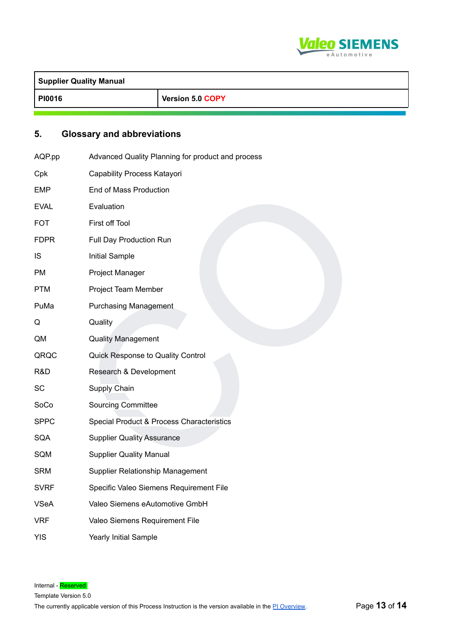

| <b>Supplier Quality Manual</b> |                  |  |  |  |  |
|--------------------------------|------------------|--|--|--|--|
| <b>PI0016</b>                  | Version 5.0 COPY |  |  |  |  |

## <span id="page-12-0"></span>**5. Glossary and abbreviations**

| AQP.pp      | Advanced Quality Planning for product and process |
|-------------|---------------------------------------------------|
| Cpk         | Capability Process Katayori                       |
| <b>EMP</b>  | End of Mass Production                            |
| <b>EVAL</b> | Evaluation                                        |
| <b>FOT</b>  | First off Tool                                    |
| <b>FDPR</b> | Full Day Production Run                           |
| <b>IS</b>   | <b>Initial Sample</b>                             |
| <b>PM</b>   | Project Manager                                   |
| <b>PTM</b>  | Project Team Member                               |
| PuMa        | <b>Purchasing Management</b>                      |
| Q           | Quality                                           |
| QM          | <b>Quality Management</b>                         |
| QRQC        | Quick Response to Quality Control                 |
| R&D         | Research & Development                            |
| <b>SC</b>   | Supply Chain                                      |
| SoCo        | <b>Sourcing Committee</b>                         |
| <b>SPPC</b> | Special Product & Process Characteristics         |
| <b>SQA</b>  | <b>Supplier Quality Assurance</b>                 |
| SQM         | <b>Supplier Quality Manual</b>                    |
| <b>SRM</b>  | Supplier Relationship Management                  |
| <b>SVRF</b> | Specific Valeo Siemens Requirement File           |
| <b>VSeA</b> | Valeo Siemens eAutomotive GmbH                    |
| <b>VRF</b>  | Valeo Siemens Requirement File                    |
| <b>YIS</b>  | <b>Yearly Initial Sample</b>                      |